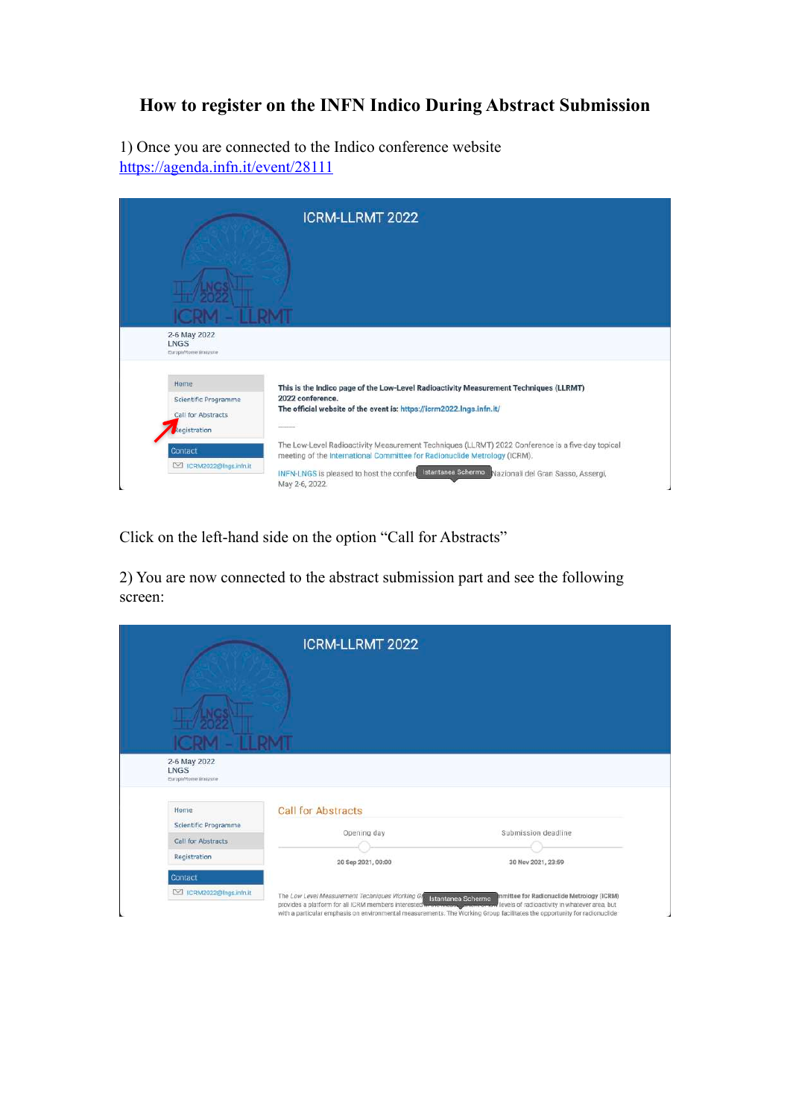## **How to register on the INFN Indico During Abstract Submission**

1) Once you are connected to the Indico conference website <https://agenda.infn.it/event/28111>



Click on the left-hand side on the option "Call for Abstracts"

2) You are now connected to the abstract submission part and see the following screen:

| 2-6 May 2022<br>LNGS<br>Europe/Rome timezone | <b>ICRM-LLRMT 2022</b>                         |                                                                 |
|----------------------------------------------|------------------------------------------------|-----------------------------------------------------------------|
| Home<br>Scientific Programme                 | <b>Call for Abstracts</b>                      |                                                                 |
| Call for Abstracts                           | Opening day                                    | Submission deadline                                             |
| Registration                                 | 20 Sep 2021, 00:00                             | 30 Nov 2021, 23:59                                              |
| Contact                                      |                                                |                                                                 |
| CRM2022@Ings.infn.it                         | The Low Level Measurement Techniques Working G | mmittee for Radionuclide Metrology (ICRM)<br>Istantanea Schermo |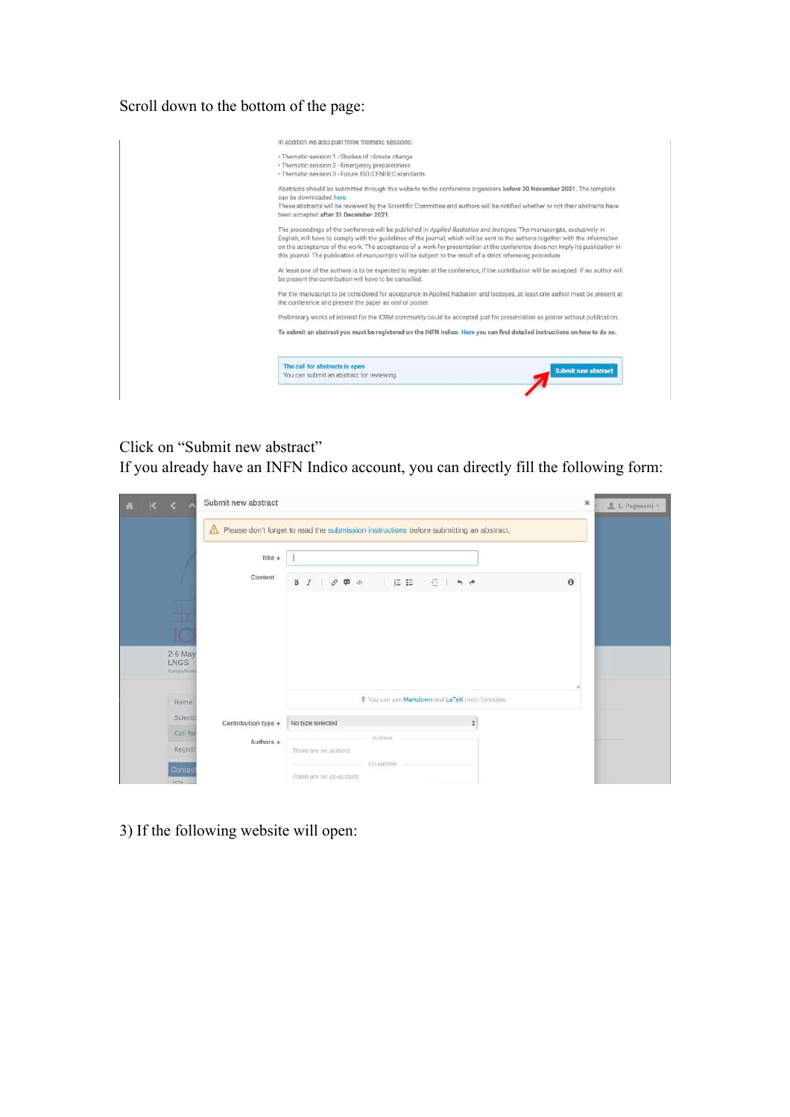Scroll down to the bottom of the page:



Click on "Submit new abstract"

If you already have an INFN Indico account, you can directly fill the following form:

| $K<\Lambda$                          | Submit new abstract |                                                                                                   |                                                 | ×        | 鱼 L Pagnanini - |
|--------------------------------------|---------------------|---------------------------------------------------------------------------------------------------|-------------------------------------------------|----------|-----------------|
|                                      | ⚠                   | Please don't forget to read the submission instructions before submitting an abstract.            |                                                 |          |                 |
|                                      | Title *             |                                                                                                   |                                                 |          |                 |
|                                      | Content             | $\mathsf{B} \quad I \quad \quad \mathscr{O} \quad \mathsf{F\!I} \quad \  \  \mathscr{O}$<br>  往 桂 | 看 1<br>A                                        | $\theta$ |                 |
| ⋢                                    |                     |                                                                                                   |                                                 |          |                 |
| id                                   |                     |                                                                                                   |                                                 |          |                 |
| 2-6 May<br><b>LNGS</b><br>Europe/Rom |                     |                                                                                                   |                                                 |          |                 |
|                                      |                     |                                                                                                   |                                                 |          |                 |
| Home                                 |                     |                                                                                                   | * You can use Markdown and LaTeX math formulae. |          |                 |
| Scienti                              | Contribution type * | No type selected                                                                                  | $\frac{\hbar}{2}$                               |          |                 |
| Call for                             | Authors *           | Authors                                                                                           |                                                 |          |                 |
| Registr                              |                     | There are no authors                                                                              |                                                 |          |                 |
| Contac<br>$\overline{2}$             |                     | Co-authors<br>There are no co-authors                                                             |                                                 |          |                 |

3) If the following website will open: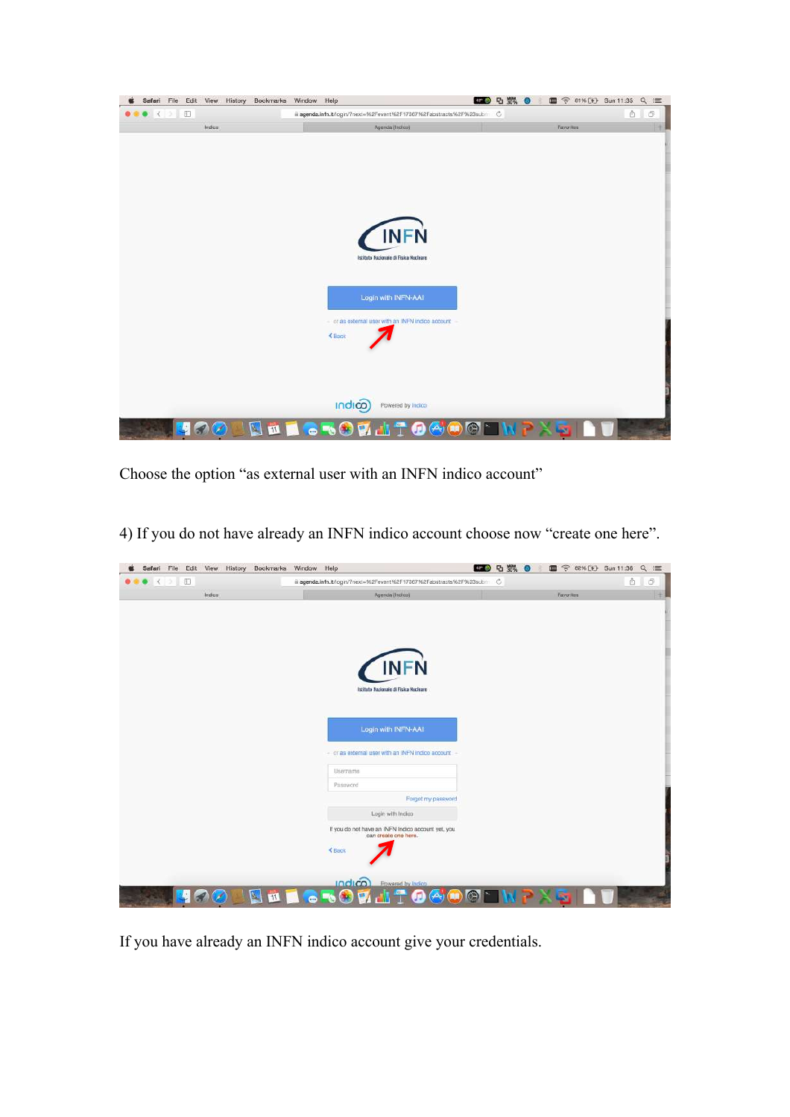

Choose the option "as external user with an INFN indico account"

4) If you do not have already an INFN indico account choose now "create one here".

| Safari File<br>Edit View                | History | Bookmarks | Window Help |               |                                                                            | □ 数 ◎<br>$42 - 69$ | <b>● 82% (4) Sun 11:36</b><br><b>THE</b> | $Q \equiv$     |
|-----------------------------------------|---------|-----------|-------------|---------------|----------------------------------------------------------------------------|--------------------|------------------------------------------|----------------|
| $\bullet$ $\bullet$ $\bullet$ $\bullet$ |         |           |             |               | iii agenda.infn.it/login/?next=%2Fevent%2F17367%2Fabstracts%2F%23subm C    |                    |                                          | ô<br>Ō         |
|                                         | Indico  |           |             |               | Agenda (Indico)                                                            |                    | Favorites                                | $\overline{+}$ |
|                                         |         |           |             |               |                                                                            |                    |                                          |                |
|                                         |         |           |             |               |                                                                            |                    |                                          |                |
|                                         |         |           |             |               |                                                                            |                    |                                          |                |
|                                         |         |           |             |               |                                                                            |                    |                                          |                |
|                                         |         |           |             |               | <b>INFN</b>                                                                |                    |                                          |                |
|                                         |         |           |             |               |                                                                            |                    |                                          |                |
|                                         |         |           |             |               | Istituto Nazionale di Fisica Nucleare                                      |                    |                                          |                |
|                                         |         |           |             |               |                                                                            |                    |                                          |                |
|                                         |         |           |             |               |                                                                            |                    |                                          |                |
|                                         |         |           |             |               | Login with INFN-AAI                                                        |                    |                                          |                |
|                                         |         |           |             |               | - or as external user with an INFN indico account                          |                    |                                          |                |
|                                         |         |           |             |               |                                                                            |                    |                                          |                |
|                                         |         |           |             | Username      |                                                                            |                    |                                          |                |
|                                         |         |           |             | Password      |                                                                            |                    |                                          |                |
|                                         |         |           |             |               | Forgot my password                                                         |                    |                                          |                |
|                                         |         |           |             |               | Login with Indica                                                          |                    |                                          |                |
|                                         |         |           |             |               | If you do not have an INFN Indico account yet, you<br>can create one here. |                    |                                          |                |
|                                         |         |           |             |               |                                                                            |                    |                                          |                |
|                                         |         |           |             | <b>≮</b> Back |                                                                            |                    |                                          |                |
|                                         |         |           |             |               |                                                                            |                    |                                          |                |
|                                         |         |           |             | indico)       | Powered by Indico                                                          |                    |                                          |                |
| $\overline{\mathbf{C}}$                 |         |           |             |               |                                                                            |                    |                                          |                |

If you have already an INFN indico account give your credentials.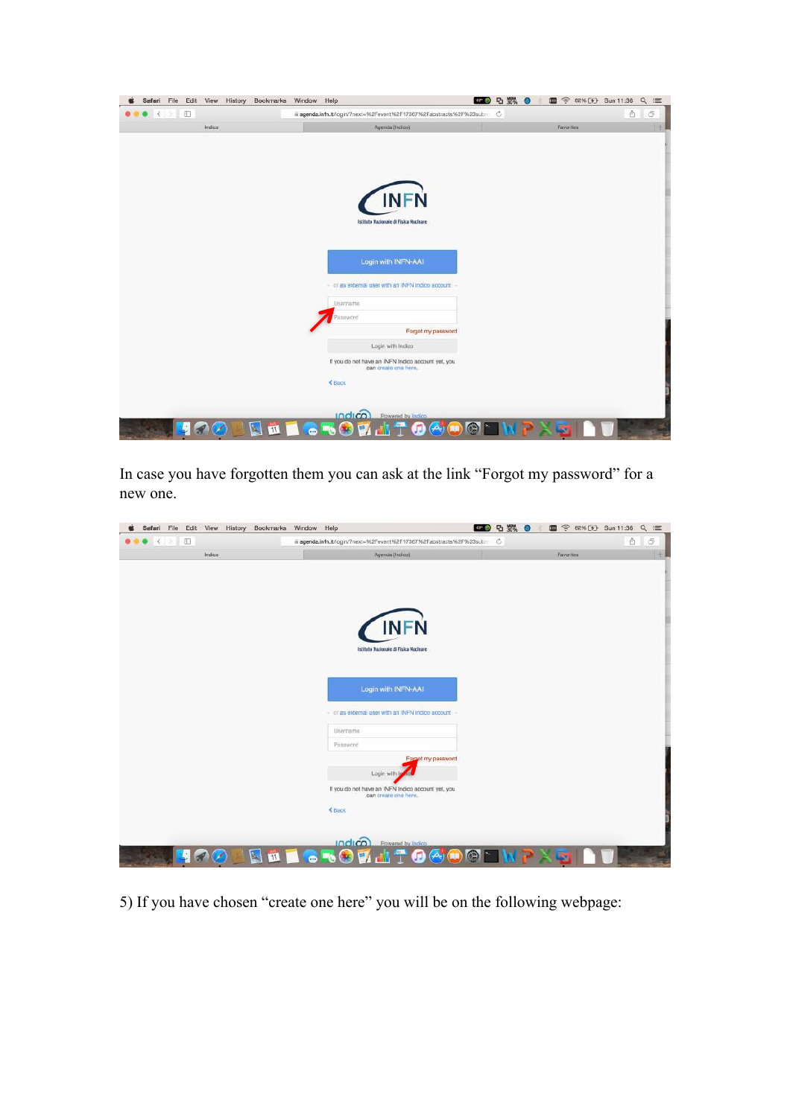| $\bullet$ < $\circ$ $\Box$ |        | iii agenda.infn.it/login/?next=%2Fevent%2F17367%2Fabstracts%2F%23subm C |           | ô<br>Ō. |
|----------------------------|--------|-------------------------------------------------------------------------|-----------|---------|
|                            | Indico | Agenda (Indico)                                                         | Favorites |         |
|                            |        |                                                                         |           |         |
|                            |        |                                                                         |           |         |
|                            |        | <b>INFN</b>                                                             |           |         |
|                            |        | Istituto Nazionale di Fisica Nucleare                                   |           |         |
|                            |        | Login with INFN-AAI                                                     |           |         |
|                            |        |                                                                         |           |         |
|                            |        | - or as external user with an INFN indico account<br>Username           |           |         |
|                            |        | Password                                                                |           |         |
|                            |        | Forgot my password                                                      |           |         |
|                            |        | Login with Indico<br>If you do not have an INFN Indico account yet, you |           |         |
|                            |        | can create one here.<br>€ Back                                          |           |         |
|                            |        |                                                                         |           |         |
|                            |        |                                                                         |           |         |

In case you have forgotten them you can ask at the link "Forgot my password" for a new one.

| $\bullet$ $\bullet$ $\bullet$<br>泗 |            | ii agenda.infn.it/login/?next=%2Fevent%2F17367%2Fabstracts%2F%23subm C     |           | ô<br>O <sub>1</sub> |
|------------------------------------|------------|----------------------------------------------------------------------------|-----------|---------------------|
| Indico                             |            | Agenda (Indico)                                                            | Favorites |                     |
|                                    |            |                                                                            |           |                     |
|                                    |            |                                                                            |           |                     |
|                                    |            | <b>INFN</b>                                                                |           |                     |
|                                    |            | Istituto Nazionale di Fisica Nucleare                                      |           |                     |
|                                    |            |                                                                            |           |                     |
|                                    |            | Login with INFN-AAI                                                        |           |                     |
|                                    |            | - or as external user with an INFN indico account                          |           |                     |
|                                    |            | Username<br>Password                                                       |           |                     |
|                                    |            | Forgot my password                                                         |           |                     |
|                                    |            | Login with In                                                              |           |                     |
|                                    |            | If you do not have an INFN Indico account yet, you<br>can create one here. |           |                     |
|                                    | € Back     |                                                                            |           |                     |
|                                    |            | indico)<br>Powered by Indico                                               |           |                     |
| $\frac{1}{2}$ $\frac{1}{2}$<br>Ъ.  | <b>STA</b> |                                                                            |           |                     |

5) If you have chosen "create one here" you will be on the following webpage: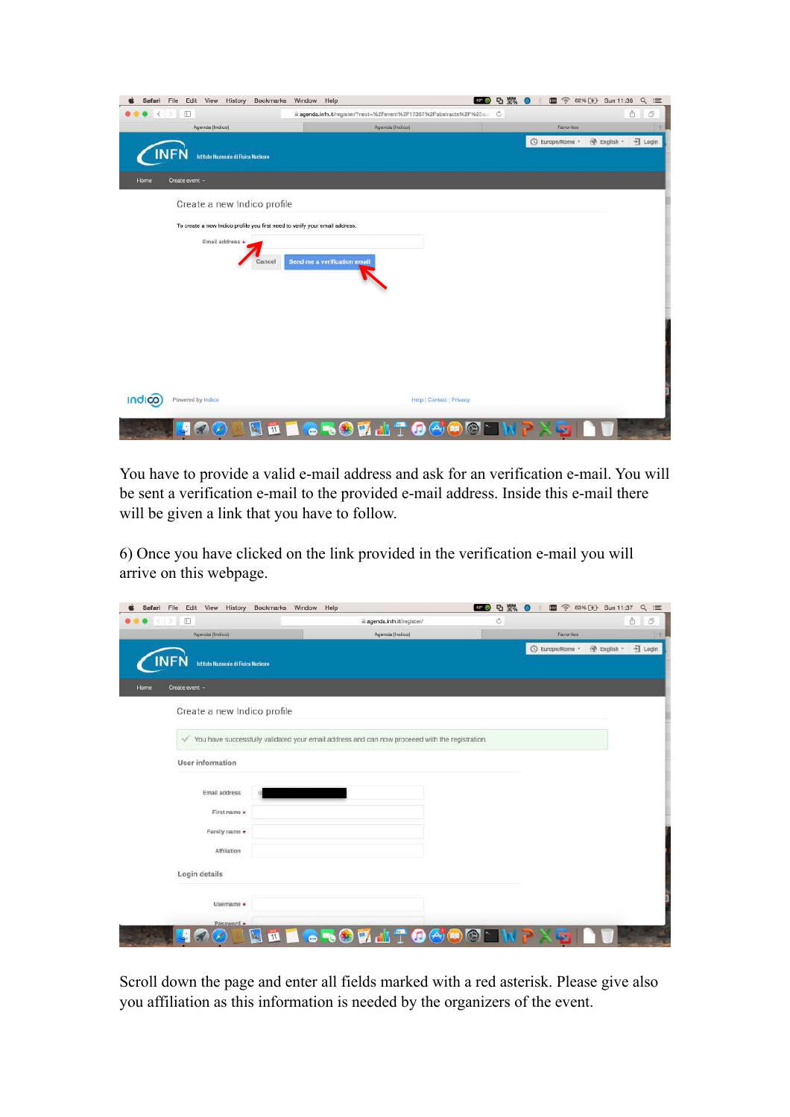| Safari                                  | Edit View History<br>Bookmarks<br>File                                      | Window Help                                                              | 四 5 数 6                  |                 | 图 <sup>(2)</sup> 82% (4) Sun 11:36<br>$Q \equiv$ |
|-----------------------------------------|-----------------------------------------------------------------------------|--------------------------------------------------------------------------|--------------------------|-----------------|--------------------------------------------------|
| $\bullet$ $\bullet$ $\bullet$ $\bullet$ | 泗                                                                           | iii agenda.infn.it/register/?next=%2Fevent%2F17367%2Fabstracts%2F%23ni C |                          |                 | ô<br>O                                           |
|                                         | Agenda (Indico)                                                             | Agenda (Indico)                                                          |                          | Favorites       |                                                  |
|                                         | <b>Istituto Nazionale di Fisica Nucleare</b>                                |                                                                          |                          | ⊙ Europe/Rome - | <b>B</b> English -<br>권 Login                    |
| Home                                    | Create event -                                                              |                                                                          |                          |                 |                                                  |
|                                         | Create a new Indico profile                                                 |                                                                          |                          |                 |                                                  |
|                                         | To create a new Indico profile you first need to verify your email address. |                                                                          |                          |                 |                                                  |
|                                         | Email address *<br>Cancel                                                   | Send me a verification email                                             |                          |                 |                                                  |
| <b>Indico</b>                           | Powered by Indico                                                           |                                                                          | Help   Contact   Privacy |                 |                                                  |
|                                         | $\mathbf{H}$                                                                | œ                                                                        |                          |                 |                                                  |

You have to provide a valid e-mail address and ask for an verification e-mail. You will be sent a verification e-mail to the provided e-mail address. Inside this e-mail there will be given a link that you have to follow.

6) Once you have clicked on the link provided in the verification e-mail you will arrive on this webpage.

| History<br>Bookmarks<br>Edit<br>View<br>Safari<br>File | Window<br>Help                                                                                 |                          | <b>BD</b> 5 5%<br>Гő | <sup> 83% [4] Sun 11:37</sup><br>画 | $Q \equiv$                    |
|--------------------------------------------------------|------------------------------------------------------------------------------------------------|--------------------------|----------------------|------------------------------------|-------------------------------|
| 泗<br>x                                                 |                                                                                                | agenda.infn.it/register/ | Ĝ                    |                                    | ô<br>Ō                        |
| Agenda (Indico)                                        |                                                                                                | Agenda (Indico)          |                      | Favorites                          |                               |
|                                                        |                                                                                                |                          |                      | ○ Europe/Rome -                    | <b>B</b> English -<br>권 Login |
| <b>Istituto Nazionale di Fisica Nucleare</b>           |                                                                                                |                          |                      |                                    |                               |
| Create event -<br>Home                                 |                                                                                                |                          |                      |                                    |                               |
|                                                        |                                                                                                |                          |                      |                                    |                               |
| Create a new Indico profile                            |                                                                                                |                          |                      |                                    |                               |
|                                                        |                                                                                                |                          |                      |                                    |                               |
| ✓                                                      | You have successfully validated your email address and can now proceeed with the registration. |                          |                      |                                    |                               |
|                                                        |                                                                                                |                          |                      |                                    |                               |
| User information                                       |                                                                                                |                          |                      |                                    |                               |
|                                                        |                                                                                                |                          |                      |                                    |                               |
| Email address                                          |                                                                                                |                          |                      |                                    |                               |
| First name *                                           |                                                                                                |                          |                      |                                    |                               |
|                                                        |                                                                                                |                          |                      |                                    |                               |
| Family name *                                          |                                                                                                |                          |                      |                                    |                               |
| Affiliation                                            |                                                                                                |                          |                      |                                    |                               |
|                                                        |                                                                                                |                          |                      |                                    |                               |
| Login details                                          |                                                                                                |                          |                      |                                    |                               |
|                                                        |                                                                                                |                          |                      |                                    |                               |
| Username *                                             |                                                                                                |                          |                      |                                    |                               |
| Password *                                             |                                                                                                |                          |                      |                                    |                               |
| $\mathbf{A}_1$                                         | $\mathbf{m}$                                                                                   | <b>GRODATOGOM</b> T      |                      | <b>SOF</b>                         |                               |
|                                                        |                                                                                                |                          |                      |                                    |                               |

Scroll down the page and enter all fields marked with a red asterisk. Please give also you affiliation as this information is needed by the organizers of the event.